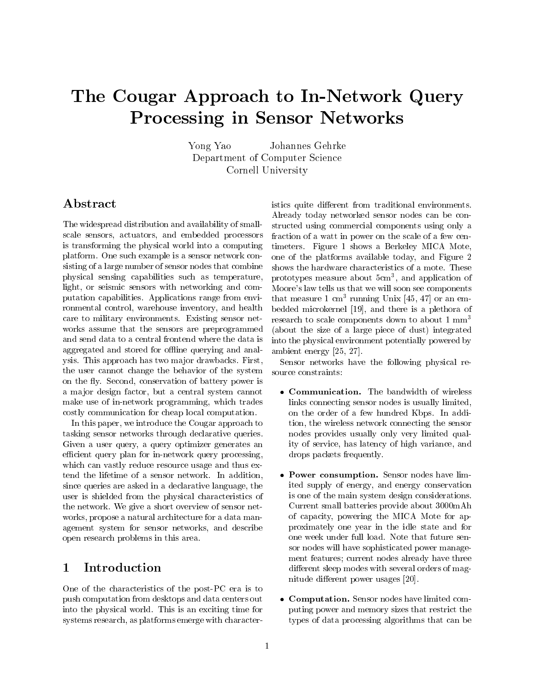# The Cougar Approach to In-Network Query **Processing in Sensor Networks**

Yong Yao Johannes Gehrke Department of Computer Science Cornell University

# Abstract

The widespread distribution and availability of smallscale sensors, actuators, and embedded processors is transforming the physical world into a computing platform. One such example is a sensor network consisting of a large number of sensor nodes that combine physical sensing capabilities such as temperature, light, or seismic sensors with networking and computation capabilities. Applications range from environmental control, warehouse inventory, and health care to military environments. Existing sensor networks assume that the sensors are preprogrammed and send data to a central frontend where the data is aggregated and stored for offline querying and analysis. This approach has two major drawbacks. First, the user cannot change the behavior of the system on the fly. Second, conservation of battery power is a major design factor, but a central system cannot make use of in-network programming, which trades costly communication for cheap local computation.

In this paper, we introduce the Cougar approach to tasking sensor networks through declarative queries. Given a user query, a query optimizer generates an efficient query plan for in-network query processing, which can vastly reduce resource usage and thus extend the lifetime of a sensor network. In addition, since queries are asked in a declarative language, the user is shielded from the physical characteristics of the network. We give a short overview of sensor networks, propose a natural architecture for a data management system for sensor networks, and describe open research problems in this area.

### Introduction 1

One of the characteristics of the post-PC era is to push computation from desktops and data centers out into the physical world. This is an exciting time for systems research, as platforms emerge with characteristics quite different from traditional environments. Already today networked sensor nodes can be constructed using commercial components using only a fraction of a watt in power on the scale of a few centimeters. Figure 1 shows a Berkeley MICA Mote, one of the platforms available today, and Figure 2 shows the hardware characteristics of a mote. These prototypes measure about  $5cm^3$ , and application of Moore's law tells us that we will soon see components that measure 1  $\text{cm}^3$  running Unix [45, 47] or an embedded microkernel [19], and there is a plethora of research to scale components down to about 1 mm<sup>3</sup> (about the size of a large piece of dust) integrated into the physical environment potentially powered by ambient energy [25, 27].

Sensor networks have the following physical resource constraints:

- Communication. The bandwidth of wireless links connecting sensor nodes is usually limited, on the order of a few hundred Kbps. In addition, the wireless network connecting the sensor nodes provides usually only very limited quality of service, has latency of high variance, and drops packets frequently.
- Power consumption. Sensor nodes have limited supply of energy, and energy conservation is one of the main system design considerations. Current small batteries provide about 3000mAh of capacity, powering the MICA Mote for approximately one year in the idle state and for one week under full load. Note that future sensor nodes will have sophisticated power management features; current nodes already have three different sleep modes with several orders of magnitude different power usages [20].
- Computation. Sensor nodes have limited computing power and memory sizes that restrict the types of data processing algorithms that can be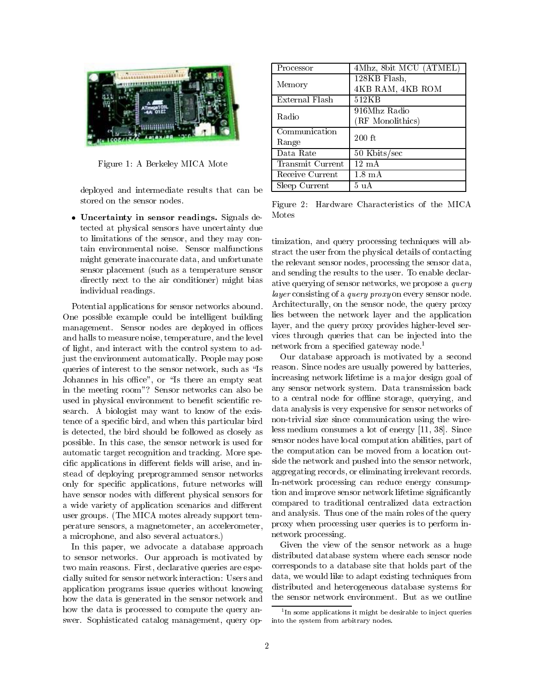

Figure 1: A Berkeley MICA Mote

deployed and intermediate results that can be stored on the sensor nodes.

• Uncertainty in sensor readings. Signals detected at physical sensors have uncertainty due to limitations of the sensor, and they may contain environmental noise. Sensor malfunctions might generate inaccurate data, and unfortunate sensor placement (such as a temperature sensor directly next to the air conditioner) might bias individual readings.

Potential applications for sensor networks abound. One possible example could be intelligent building management. Sensor nodes are deployed in offices and halls to measure noise, temperature, and the level of light, and interact with the control system to adjust the environment automatically. People may pose queries of interest to the sensor network, such as "Is Johannes in his office", or "Is there an empty seat in the meeting room"? Sensor networks can also be used in physical environment to benefit scientific research. A biologist may want to know of the existence of a specific bird, and when this particular bird is detected, the bird should be followed as closely as possible. In this case, the sensor network is used for automatic target recognition and tracking. More specific applications in different fields will arise, and instead of deploying preprogrammed sensor networks only for specific applications, future networks will have sensor nodes with different physical sensors for a wide variety of application scenarios and different user groups. (The MICA motes already support temperature sensors, a magnetometer, an accelerometer, a microphone, and also several actuators.)

In this paper, we advocate a database approach to sensor networks. Our approach is motivated by two main reasons. First, declarative queries are especially suited for sensor network interaction: Users and application programs issue queries without knowing how the data is generated in the sensor network and how the data is processed to compute the query answer. Sophisticated catalog management, query op-

| Processor              | 4Mhz, 8bit MCU (ATMEL)           |
|------------------------|----------------------------------|
| Memory                 | 128KB Flash,<br>4KB RAM, 4KB ROM |
| External Flash         | 512KB                            |
| Radio                  | 916Mhz Radio<br>(RF Monolithics) |
| Communication<br>Range | $200$ ft                         |
| Data Rate              | 50 Kbits/sec                     |
| Transmit Current       | $12 \text{ mA}$                  |
| Receive Current        | $1.8 \text{ mA}$                 |
| Sleep Current          | 5 uA                             |

Figure 2: Hardware Characteristics of the MICA Motes

timization, and query processing techniques will abstract the user from the physical details of contacting the relevant sensor nodes, processing the sensor data, and sending the results to the user. To enable declarative querying of sensor networks, we propose a query *layer* consisting of a *query proxy* on every sensor node. Architecturally, on the sensor node, the query proxy lies between the network layer and the application layer, and the query proxy provides higher-level services through queries that can be injected into the network from a specified gateway node.<sup>1</sup>

Our database approach is motivated by a second reason. Since nodes are usually powered by batteries, increasing network lifetime is a major design goal of any sensor network system. Data transmission back to a central node for offline storage, querying, and data analysis is very expensive for sensor networks of non-trivial size since communication using the wireless medium consumes a lot of energy  $[11, 38]$ . Since sensor nodes have local computation abilities, part of the computation can be moved from a location outside the network and pushed into the sensor network, aggregating records, or eliminating irrelevant records. In-network processing can reduce energy consumption and improve sensor network lifetime significantly compared to traditional centralized data extraction and analysis. Thus one of the main roles of the query proxy when processing user queries is to perform innetwork processing.

Given the view of the sensor network as a huge distributed database system where each sensor node corresponds to a database site that holds part of the data, we would like to adapt existing techniques from distributed and heterogeneous database systems for the sensor network environment. But as we outline

 $1$ In some applications it might be desirable to inject queries into the system from arbitrary nodes.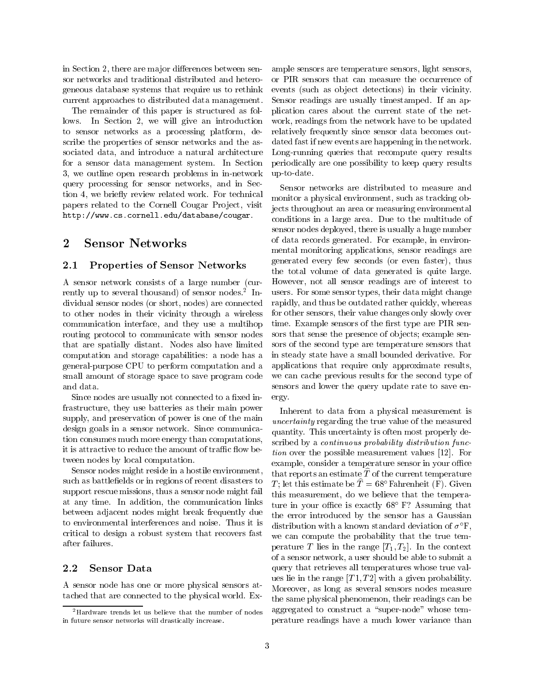in Section 2, there are major differences between sensor networks and traditional distributed and heterogeneous database systems that require us to rethink current approaches to distributed data management.

The remainder of this paper is structured as fol-In Section 2, we will give an introduction lows. to sensor networks as a processing platform, describe the properties of sensor networks and the associated data, and introduce a natural architecture for a sensor data management system. In Section 3, we outline open research problems in in-network query processing for sensor networks, and in Section 4, we briefly review related work. For technical papers related to the Cornell Cougar Project, visit http://www.cs.cornell.edu/database/cougar.

#### $\overline{2}$ **Sensor Networks**

#### **Properties of Sensor Networks**  $2.1$

A sensor network consists of a large number (currently up to several thousand) of sensor nodes.<sup>2</sup> Individual sensor nodes (or short, nodes) are connected to other nodes in their vicinity through a wireless communication interface, and they use a multihop routing protocol to communicate with sensor nodes that are spatially distant. Nodes also have limited computation and storage capabilities: a node has a general-purpose CPU to perform computation and a small amount of storage space to save program code and data.

Since nodes are usually not connected to a fixed infrastructure, they use batteries as their main power supply, and preservation of power is one of the main design goals in a sensor network. Since communication consumes much more energy than computations, it is attractive to reduce the amount of traffic flow between nodes by local computation.

Sensor nodes might reside in a hostile environment, such as battlefields or in regions of recent disasters to support rescue missions, thus a sensor node might fail at any time. In addition, the communication links between adjacent nodes might break frequently due to environmental interferences and noise. Thus it is critical to design a robust system that recovers fast after failures.

#### $2.2$ **Sensor Data**

A sensor node has one or more physical sensors attached that are connected to the physical world. Example sensors are temperature sensors, light sensors, or PIR sensors that can measure the occurrence of events (such as object detections) in their vicinity. Sensor readings are usually timestamped. If an application cares about the current state of the network, readings from the network have to be updated relatively frequently since sensor data becomes outdated fast if new events are happening in the network. Long-running queries that recompute query results periodically are one possibility to keep query results up-to-date.

Sensor networks are distributed to measure and monitor a physical environment, such as tracking objects throughout an area or measuring environmental conditions in a large area. Due to the multitude of sensor nodes deployed, there is usually a huge number of data records generated. For example, in environmental monitoring applications, sensor readings are generated every few seconds (or even faster), thus the total volume of data generated is quite large. However, not all sensor readings are of interest to users. For some sensor types, their data might change rapidly, and thus be outdated rather quickly, whereas for other sensors, their value changes only slowly over time. Example sensors of the first type are PIR sensors that sense the presence of objects; example sensors of the second type are temperature sensors that in steady state have a small bounded derivative. For applications that require only approximate results, we can cache previous results for the second type of sensors and lower the query update rate to save energy.

Inherent to data from a physical measurement is *uncertainty* regarding the true value of the measured quantity. This uncertainty is often most properly described by a *continuous* probability distribution func*tion* over the possible measurement values [12]. For example, consider a temperature sensor in your office that reports an estimate  $\overline{T}$  of the current temperature T; let this estimate be  $\hat{T} = 68^{\circ}$  Fahrenheit (F). Given this measurement, do we believe that the temperature in your office is exactly 68° F? Assuming that the error introduced by the sensor has a Gaussian distribution with a known standard deviation of  $\sigma$ °F. we can compute the probability that the true temperature T lies in the range  $[T_1, T_2]$ . In the context of a sensor network, a user should be able to submit a query that retrieves all temperatures whose true values lie in the range  $[T1, T2]$  with a given probability. Moreover, as long as several sensors nodes measure the same physical phenomenon, their readings can be aggregated to construct a "super-node" whose temperature readings have a much lower variance than

 $2$ Hardware trends let us believe that the number of nodes in future sensor networks will drastically increase.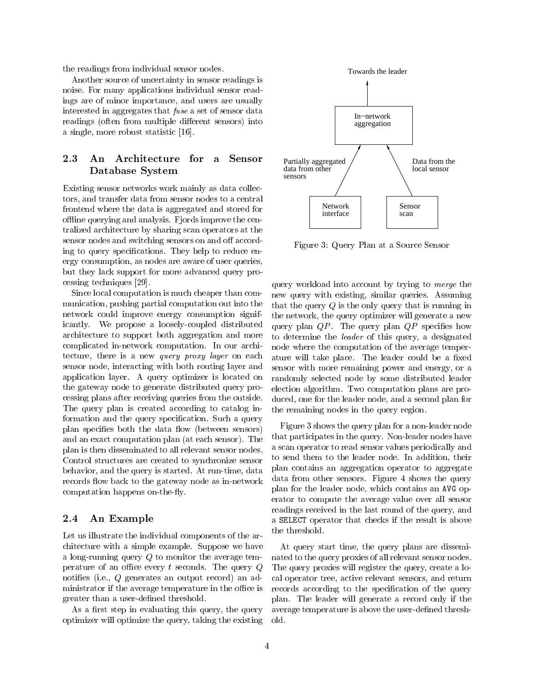the readings from individual sensor nodes.

Another source of uncertainty in sensor readings is noise. For many applications individual sensor readings are of minor importance, and users are usually interested in aggregates that *fuse* a set of sensor data readings (often from multiple different sensors) into a single, more robust statistic [16].

#### 2.3 An Architecture for a Sensor Database System

Existing sensor networks work mainly as data collectors, and transfer data from sensor nodes to a central frontend where the data is aggregated and stored for offline querying and analysis. Fjords improve the centralized architecture by sharing scan operators at the sensor nodes and switching sensors on and off according to query specifications. They help to reduce energy consumption, as nodes are aware of user queries, but they lack support for more advanced query processing techniques [29].

Since local computation is much cheaper than communication, pushing partial computation out into the network could improve energy consumption significantly. We propose a loosely-coupled distributed architecture to support both aggregation and more complicated in-network computation. In our architecture, there is a new query proxy layer on each sensor node, interacting with both routing layer and application layer. A query optimizer is located on the gateway node to generate distributed query processing plans after receiving queries from the outside. The query plan is created according to catalog information and the query specification. Such a query plan specifies both the data flow (between sensors) and an exact computation plan (at each sensor). The plan is then disseminated to all relevant sensor nodes. Control structures are created to synchronize sensor behavior, and the query is started. At run-time, data records flow back to the gateway node as in-network computation happens on-the-fly.

#### $2.4$ An Example

Let us illustrate the individual components of the architecture with a simple example. Suppose we have a long-running query  $Q$  to monitor the average temperature of an office every  $t$  seconds. The query  $Q$ notifies (i.e., Q generates an output record) an administrator if the average temperature in the office is greater than a user-defined threshold.

As a first step in evaluating this query, the query optimizer will optimize the query, taking the existing



Figure 3: Query Plan at a Source Sensor

query workload into account by trying to merge the new query with existing, similar queries. Assuming that the query  $Q$  is the only query that is running in the network, the query optimizer will generate a new query plan  $QP$ . The query plan  $QP$  specifies how to determine the *leader* of this query, a designated node where the computation of the average temperature will take place. The leader could be a fixed sensor with more remaining power and energy, or a randomly selected node by some distributed leader election algorithm. Two computation plans are produced, one for the leader node, and a second plan for the remaining nodes in the query region.

Figure 3 shows the query plan for a non-leader node that participates in the query. Non-leader nodes have a scan operator to read sensor values periodically and to send them to the leader node. In addition, their plan contains an aggregation operator to aggregate data from other sensors. Figure 4 shows the query plan for the leader node, which contains an AVG operator to compute the average value over all sensor readings received in the last round of the query, and a SELECT operator that checks if the result is above the threshold.

At query start time, the query plans are disseminated to the query proxies of all relevant sensor nodes. The query proxies will register the query, create a local operator tree, active relevant sensors, and return records according to the specification of the query plan. The leader will generate a record only if the average temperature is above the user-defined threshold.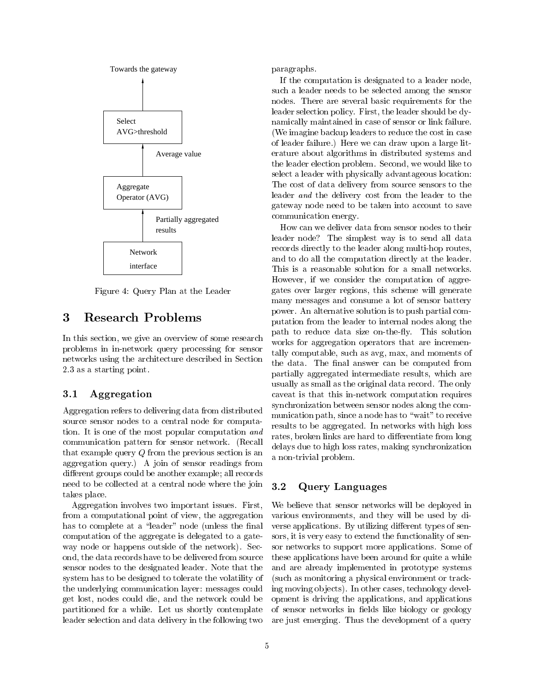

Figure 4: Query Plan at the Leader

### **Research Problems** 3

In this section, we give an overview of some research problems in in-network query processing for sensor networks using the architecture described in Section 2.3 as a starting point.

#### 3.1 Aggregation

Aggregation refers to delivering data from distributed source sensor nodes to a central node for computation. It is one of the most popular computation and communication pattern for sensor network. (Recall that example query  $Q$  from the previous section is an aggregation query.) A join of sensor readings from different groups could be another example; all records need to be collected at a central node where the join takes place.

Aggregation involves two important issues. First, from a computational point of view, the aggregation has to complete at a "leader" node (unless the final computation of the aggregate is delegated to a gateway node or happens outside of the network). Second, the data records have to be delivered from source sensor nodes to the designated leader. Note that the system has to be designed to tolerate the volatility of the underlying communication layer: messages could get lost, nodes could die, and the network could be partitioned for a while. Let us shortly contemplate leader selection and data delivery in the following two

paragraphs.

If the computation is designated to a leader node, such a leader needs to be selected among the sensor nodes. There are several basic requirements for the leader selection policy. First, the leader should be dynamically maintained in case of sensor or link failure. (We imagine backup leaders to reduce the cost in case) of leader failure.) Here we can draw upon a large literature about algorithms in distributed systems and the leader election problem. Second, we would like to select a leader with physically advantageous location: The cost of data delivery from source sensors to the leader and the delivery cost from the leader to the gateway node need to be taken into account to save communication energy.

How can we deliver data from sensor nodes to their leader node? The simplest way is to send all data records directly to the leader along multi-hop routes, and to do all the computation directly at the leader. This is a reasonable solution for a small networks. However, if we consider the computation of aggregates over larger regions, this scheme will generate many messages and consume a lot of sensor battery power. An alternative solution is to push partial computation from the leader to internal nodes along the path to reduce data size on-the-fly. This solution works for aggregation operators that are incrementally computable, such as avg, max, and moments of the data. The final answer can be computed from partially aggregated intermediate results, which are usually as small as the original data record. The only caveat is that this in-network computation requires synchronization between sensor nodes along the communication path, since a node has to "wait" to receive results to be aggregated. In networks with high loss rates, broken links are hard to differentiate from long delays due to high loss rates, making synchronization a non-trivial problem.

#### $3.2$ **Query Languages**

We believe that sensor networks will be deployed in various environments, and they will be used by diverse applications. By utilizing different types of sensors, it is very easy to extend the functionality of sensor networks to support more applications. Some of these applications have been around for quite a while and are already implemented in prototype systems (such as monitoring a physical environment or tracking moving objects). In other cases, technology development is driving the applications, and applications of sensor networks in fields like biology or geology are just emerging. Thus the development of a query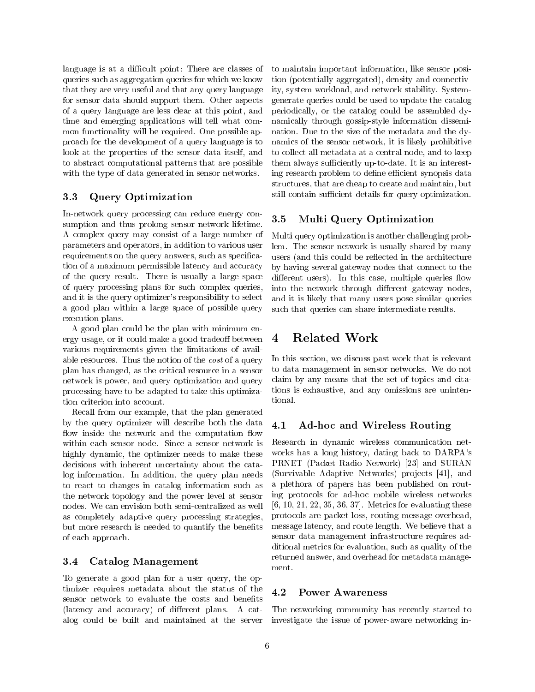language is at a difficult point: There are classes of queries such as aggregation queries for which we know that they are very useful and that any query language for sensor data should support them. Other aspects of a query language are less clear at this point, and time and emerging applications will tell what common functionality will be required. One possible approach for the development of a query language is to look at the properties of the sensor data itself, and to abstract computational patterns that are possible with the type of data generated in sensor networks.

#### **Query Optimization** 3.3

In-network query processing can reduce energy consumption and thus prolong sensor network lifetime. A complex query may consist of a large number of parameters and operators, in addition to various user requirements on the query answers, such as specification of a maximum permissible latency and accuracy of the query result. There is usually a large space of query processing plans for such complex queries, and it is the query optimizer's responsibility to select a good plan within a large space of possible query execution plans.

A good plan could be the plan with minimum energy usage, or it could make a good tradeoff between various requirements given the limitations of available resources. Thus the notion of the *cost* of a query plan has changed, as the critical resource in a sensor network is power, and query optimization and query processing have to be adapted to take this optimization criterion into account.

Recall from our example, that the plan generated by the query optimizer will describe both the data flow inside the network and the computation flow within each sensor node. Since a sensor network is highly dynamic, the optimizer needs to make these decisions with inherent uncertainty about the catalog information. In addition, the query plan needs to react to changes in catalog information such as the network topology and the power level at sensor nodes. We can envision both semi-centralized as well as completely adaptive query processing strategies, but more research is needed to quantify the benefits of each approach.

#### **Catalog Management** 3.4

To generate a good plan for a user query, the optimizer requires metadata about the status of the sensor network to evaluate the costs and benefits (latency and accuracy) of different plans. A catalog could be built and maintained at the server

to maintain important information, like sensor position (potentially aggregated), density and connectivity, system workload, and network stability. Systemgenerate queries could be used to update the catalog periodically, or the catalog could be assembled dynamically through gossip-style information dissemination. Due to the size of the metadata and the dynamics of the sensor network, it is likely prohibitive to collect all metadata at a central node, and to keep them always sufficiently up-to-date. It is an interesting research problem to define efficient synopsis data structures, that are cheap to create and maintain, but still contain sufficient details for query optimization.

#### Multi Query Optimization  $3.5\,$

Multi query optimization is another challenging problem. The sensor network is usually shared by many users (and this could be reflected in the architecture by having several gateway nodes that connect to the different users). In this case, multiple queries flow into the network through different gateway nodes, and it is likely that many users pose similar queries such that queries can share intermediate results.

## **Related Work** 4

In this section, we discuss past work that is relevant to data management in sensor networks. We do not claim by any means that the set of topics and citations is exhaustive, and any omissions are unintentional.

#### $4.1$ Ad-hoc and Wireless Routing

Research in dynamic wireless communication networks has a long history, dating back to DARPA's PRNET (Packet Radio Network) [23] and SURAN (Survivable Adaptive Networks) projects [41], and a plethora of papers has been published on routing protocols for ad-hoc mobile wireless networks  $[6, 10, 21, 22, 35, 36, 37]$ . Metrics for evaluating these protocols are packet loss, routing message overhead, message latency, and route length. We believe that a sensor data management infrastructure requires additional metrics for evaluation, such as quality of the returned answer, and overhead for metadata management.

#### 4.2 **Power Awareness**

The networking community has recently started to investigate the issue of power-aware networking in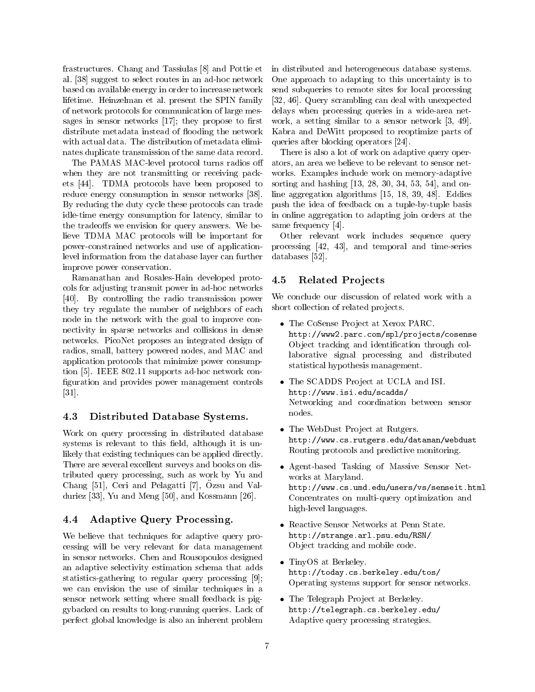frastructures. Chang and Tassiulas [8] and Pottie et al. [38] suggest to select routes in an ad-hoc network based on available energy in order to increase network lifetime. Heinzelman et al. present the SPIN family of network protocols for communication of large messages in sensor networks  $[17]$ ; they propose to first distribute metadata instead of flooding the network with actual data. The distribution of metadata eliminates duplicate transmission of the same data record.

The PAMAS MAC-level protocol turns radios off when they are not transmitting or receiving packets [44]. TDMA protocols have been proposed to reduce energy consumption in sensor networks [38]. By reducing the duty cycle these protocols can trade idle-time energy consumption for latency, similar to the tradeoffs we envision for query answers. We believe TDMA MAC protocols will be important for power-constrained networks and use of applicationlevel information from the database layer can further improve power conservation.

Ramanathan and Rosales-Hain developed protocols for adjusting transmit power in ad-hoc networks [40]. By controlling the radio transmission power they try regulate the number of neighbors of each node in the network with the goal to improve connectivity in sparse networks and collisions in dense networks. PicoNet proposes an integrated design of radios, small, battery powered nodes, and MAC and application protocols that minimize power consumption [5]. IEEE 802.11 supports ad-hoc network configuration and provides power management controls  $\left[31\right]$ .

#### Distributed Database Systems. 4.3

Work on query processing in distributed database systems is relevant to this field, although it is unlikely that existing techniques can be applied directly. There are several excellent surveys and books on distributed query processing, such as work by Yu and Chang [51], Ceri and Pelagatti [7], Özsu and Valduriez [33], Yu and Meng [50], and Kossmann [26].

#### **Adaptive Query Processing.** 4.4

We believe that techniques for adaptive query processing will be very relevant for data management in sensor networks. Chen and Rousopoulos designed an adaptive selectivity estimation schema that adds statistics-gathering to regular query processing [9]; we can envision the use of similar techniques in a sensor network setting where small feedback is piggybacked on results to long-running queries. Lack of perfect global knowledge is also an inherent problem

in distributed and heterogeneous database systems. One approach to adapting to this uncertainty is to send subqueries to remote sites for local processing [32, 46]. Query scrambling can deal with unexpected delays when processing queries in a wide-area network, a setting similar to a sensor network  $[3, 49]$ . Kabra and DeWitt proposed to reoptimize parts of queries after blocking operators [24].

There is also a lot of work on adaptive query operators, an area we believe to be relevant to sensor networks. Examples include work on memory-adaptive sorting and hashing  $[13, 28, 30, 34, 53, 54]$ , and online aggregation algorithms [15, 18, 39, 48]. Eddies push the idea of feedback on a tuple-by-tuple basis in online aggregation to adapting join orders at the same frequency [4].

Other relevant work includes sequence query processing [42, 43], and temporal and time-series databases  $[52]$ .

#### 4.5 **Related Projects**

We conclude our discussion of related work with a short collection of related projects.

- The CoSense Project at Xerox PARC. http://www2.parc.com/spl/projects/cosense Object tracking and identification through collaborative signal processing and distributed statistical hypothesis management.
- The SCADDS Project at UCLA and ISI. http://www.isi.edu/scadds/ Networking and coordination between sensor nodes.
- The WebDust Project at Rutgers. http://www.cs.rutgers.edu/dataman/webdust Routing protocols and predictive monitoring.
- Agent-based Tasking of Massive Sensor Networks at Maryland. http://www.cs.umd.edu/users/vs/senseit.html Concentrates on multi-query optimization and high-level languages.
- Reactive Sensor Networks at Penn State. http://strange.arl.psu.edu/RSN/ Object tracking and mobile code.
- TinyOS at Berkeley. http://today.cs.berkeley.edu/tos/ Operating systems support for sensor networks.
- The Telegraph Project at Berkeley. http://telegraph.cs.berkeley.edu/ Adaptive query processing strategies.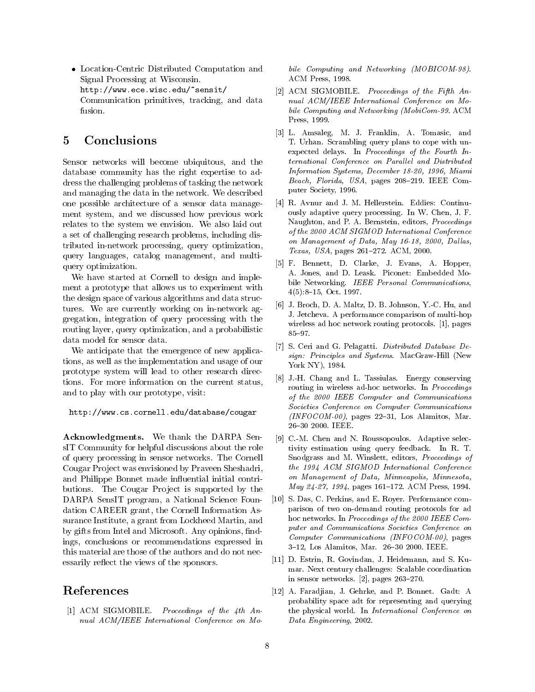• Location-Centric Distributed Computation and Signal Processing at Wisconsin. http://www.ece.wisc.edu/~sensit/ Communication primitives, tracking, and data fusion.

# Conclusions  $\mathbf{5}$

Sensor networks will become ubiquitous, and the database community has the right expertise to address the challenging problems of tasking the network and managing the data in the network. We described one possible architecture of a sensor data management system, and we discussed how previous work relates to the system we envision. We also laid out a set of challenging research problems, including distributed in-network processing, query optimization, query languages, catalog management, and multiquery optimization.

We have started at Cornell to design and implement a prototype that allows us to experiment with the design space of various algorithms and data structures. We are currently working on in-network aggregation, integration of query processing with the routing layer, query optimization, and a probabilistic data model for sensor data.

We anticipate that the emergence of new applications, as well as the implementation and usage of our prototype system will lead to other research directions. For more information on the current status, and to play with our prototype, visit:

http://www.cs.cornell.edu/database/cougar

Acknowledgments. We thank the DARPA SensIT Community for helpful discussions about the role of query processing in sensor networks. The Cornell Cougar Project was envisioned by Praveen Sheshadri, and Philippe Bonnet made influential initial contributions. The Cougar Project is supported by the DARPA SensIT program, a National Science Foundation CAREER grant, the Cornell Information Assurance Institute, a grant from Lockheed Martin, and by gifts from Intel and Microsoft. Any opinions, findings, conclusions or recommendations expressed in this material are those of the authors and do not necessarily reflect the views of the sponsors.

# References

[1] ACM SIGMOBILE. Proceedings of the 4th Annual ACM/IEEE International Conference on Mo-

bile Computing and Networking (MOBICOM-98). ACM Press, 1998.

- [2] ACM SIGMOBILE. Proceedings of the Fifth Annual ACM/IEEE International Conference on Mobile Computing and Networking (MobiCom-99. ACM Press, 1999.
- [3] L. Amsaleg, M. J. Franklin, A. Tomasic, and T. Urhan. Scrambling query plans to cope with unexpected delays. In Proceedings of the Fourth International Conference on Parallel and Distributed Information Systems, December 18-20, 1996, Miami Beach, Florida, USA, pages 208-219. IEEE Computer Society, 1996.
- [4] R. Avnur and J. M. Hellerstein. Eddies: Continuously adaptive query processing. In W. Chen, J. F. Naughton, and P. A. Bernstein, editors, Proceedings of the 2000 ACM SIGMOD International Conference on Management of Data, May 16-18, 2000, Dallas, Texas, USA, pages 261-272. ACM, 2000.
- [5] F. Bennett, D. Clarke, J. Evans, A. Hopper, A. Jones, and D. Leask. Piconet: Embedded Mobile Networking. IEEE Personal Communications.  $4(5):8-15$ , Oct. 1997.
- [6] J. Broch, D. A. Maltz, D. B. Johnson, Y. C. Hu, and J. Jetcheva. A performance comparison of multi-hop wireless ad hoc network routing protocols. [1], pages  $85 - 97$ .
- [7] S. Ceri and G. Pelagatti. Distributed Database Design: Principles and Systems. MacGraw-Hill (New York NY), 1984.
- [8] J.-H. Chang and L. Tassiulas. Energy conserving routing in wireless ad-hoc networks. In Proceedings of the 2000 IEEE Computer and Communications Societies Conference on Computer Communications  $(INFOCOM-00)$ , pages 22-31, Los Alamitos, Mar. 26-30 2000. IEEE.
- [9] C.-M. Chen and N. Roussopoulos. Adaptive selectivity estimation using query feedback. In R. T. Snodgrass and M. Winslett, editors, Proceedings of the 1994 ACM SIGMOD International Conference on Management of Data, Minneapolis, Minnesota. May 24-27, 1994, pages 161-172. ACM Press, 1994.
- [10] S. Das, C. Perkins, and E. Royer. Performance comparison of two on-demand routing protocols for ad hoc networks. In Proceedings of the 2000 IEEE Computer and Communications Societies Conference on *Computer Communications (INFOCOM-00)*, pages 3-12, Los Alamitos, Mar. 26-30 2000. IEEE.
- [11] D. Estrin, R. Govindan, J. Heidemann, and S. Kumar. Next century challenges: Scalable coordination in sensor networks.  $[2]$ , pages  $263-270$ .
- [12] A. Faradjian, J. Gehrke, and P. Bonnet. Gadt: A probability space adt for representing and querying the physical world. In International Conference on Data Engineering, 2002.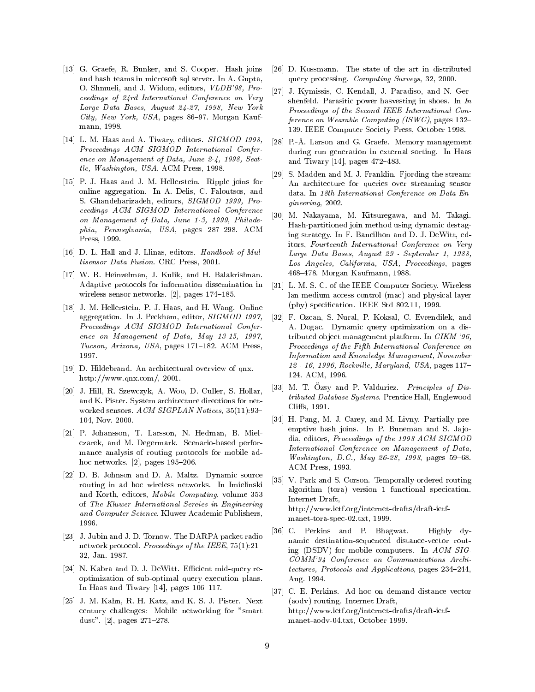- [13] G. Graefe, R. Bunker, and S. Cooper. Hash joins and hash teams in microsoft sol server. In A. Gupta. O. Shmueli, and J. Widom, editors, VLDB'98, Proceedings of 24rd International Conference on Very Large Data Bases, August 24-27, 1998, New York City, New York, USA, pages 86-97. Morgan Kaufmann, 1998.
- [14] L. M. Haas and A. Tiwary, editors. SIGMOD 1998 Proceedings ACM SIGMOD International Conference on Management of Data, June 2-4, 1998, Seattle, Washington, USA. ACM Press, 1998.
- [15] P. J. Haas and J. M. Hellerstein. Ripple joins for online aggregation. In A. Delis, C. Faloutsos, and S. Ghandeharizadeh, editors, SIGMOD 1999, Proceedings ACM SIGMOD International Conference on Management of Data, June 1-3, 1999, Philadephia, Pennsylvania, USA, pages 287-298. ACM Press, 1999.
- [16] D. L. Hall and J. Llinas, editors. Handbook of Mul*tisensor Data Fusion.* CRC Press, 2001.
- [17] W. R. Heinzelman, J. Kulik, and H. Balakrishnan. Adaptive protocols for information dissemination in wireless sensor networks. [2], pages 174-185.
- [18] J. M. Hellerstein, P. J. Haas, and H. Wang. Online aggregation. In J. Peckham, editor, SIGMOD 1997, Proceedings ACM SIGMOD International Conference on Management of Data, May 13-15, 1997 Tucson, Arizona, USA, pages 171-182. ACM Press, 1997.
- [19] D. Hildebrand. An architectural overview of gnx. http://www.qnx.com/, 2001.
- [20] J. Hill, R. Szewczyk, A. Woo, D. Culler, S. Hollar, and K. Pister. System architecture directions for networked sensors. ACM SIGPLAN Notices, 35(11):93-104. Nov. 2000.
- [21] P. Johansson, T. Larsson, N. Hedman, B. Mielczarek, and M. Degermark. Scenario-based performance analysis of routing protocols for mobile adhoc networks.  $[2]$ , pages 195-206.
- [22] D. B. Johnson and D. A. Maltz. Dynamic source routing in ad hoc wireless networks. In Imielinski and Korth, editors, Mobile Computing, volume 353 of The Kluwer International Sereies in Engineering and Computer Science. Kluwer Academic Publishers, 1996.
- [23] J. Jubin and J. D. Tornow. The DARPA packet radio network protocol. Proceedings of the IEEE,  $75(1):21-$ 32, Jan. 1987.
- [24] N. Kabra and D. J. DeWitt. Efficient mid-query reoptimization of sub-optimal query execution plans. In Haas and Tiwary  $[14]$ , pages  $106-117$ .
- [25] J. M. Kahn, R. H. Katz, and K. S. J. Pister. Next century challenges: Mobile networking for "smart dust".  $[2]$ , pages  $271-278$ .
- [26] D. Kossmann. The state of the art in distributed query processing. Computing Surveys, 32, 2000.
- [27] J. Kymissis, C. Kendall, J. Paradiso, and N. Gershenfeld. Parasitic power hasvesting in shoes. In In Proceedings of the Second IEEE International Conference on Wearable Computing (ISWC), pages  $132-$ 139. IEEE Computer Society Press, October 1998.
- [28] P. Å. Larson and G. Graefe. Memory management during run generation in external sorting. In Haas and Tiwary  $[14]$ , pages  $472-483$ .
- S. Madden and M. J. Franklin. Fjording the stream: **29** An architecture for queries over streaming sensor data. In 18th International Conference on Data Engineering, 2002.
- [30] M. Nakayama, M. Kitsuregawa, and M. Takagi. Hash-partitioned join method using dynamic destaging strategy. In F. Bancilhon and D. J. DeWitt, editors, Fourteenth International Conference on Very Large Data Bases, August 29 - September 1, 1988, Los Angeles, California, USA, Proceedings, pages 468-478. Morgan Kaufmann, 1988.
- [31] L. M. S. C. of the IEEE Computer Society. Wireless lan medium access control (mac) and physical layer  $(\text{phy})$  specification. IEEE Std 802.11, 1999.
- [32] F. Ozcan, S. Nural, P. Koksal, C. Evrendilek, and A. Dogac. Dynamic query optimization on a distributed object management platform. In CIKM '96 Proceedings of the Fifth International Conference on Information and Knowledge Management, November 12 - 16, 1996, Rockville, Maryland, USA, pages 117-124. ACM, 1996.
- $[33]$ M. T. Ozsy and P. Valduriez. Principles of Dis*tributed Database Systems.* Prentice Hall, Englewood Cliffs, 1991.
- [34] H. Pang, M. J. Carey, and M. Livny. Partially preemptive hash joins. In P. Buneman and S. Jajodia, editors, Proceedings of the 1993 ACM SIGMOD International Conference on Management of Data. Washington, D.C., May 26-28, 1993, pages 59-68. ACM Press, 1993.
- $[35]$ V. Park and S. Corson. Temporally-ordered routing algorithm (tora) version 1 functional specication. Internet Draft, http://www.ietf.org/internet-drafts/draft-ietfmanet-tora-spec-02.txt, 1999.
- [36] C. Perkins and P. Bhagwat. Highly dynamic destination-sequenced distance-vector routing (DSDV) for mobile computers. In ACM SIG-COMM'94 Conference on Communications Archi*tectures, Protocols and Applications, pages 234-244,* Aug. 1994.
- [37] C. E. Perkins. Ad hoc on demand distance vector (aodv) routing. Internet Draft, http://www.ietf.org/internet-drafts/draft-ietfmanet-aodv-04.txt, October 1999.